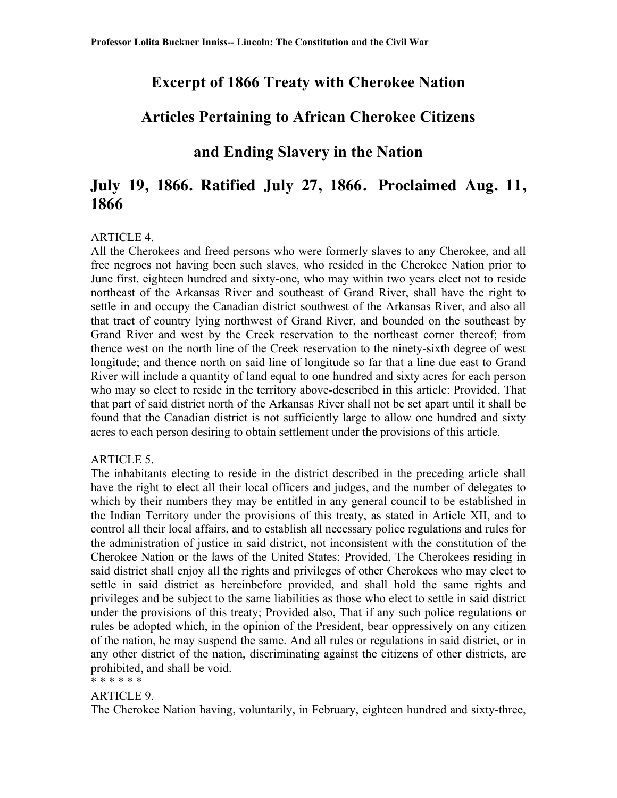### **Excerpt of 1866 Treaty with Cherokee Nation**

### **Articles Pertaining to African Cherokee Citizens**

## **and Ending Slavery in the Nation**

# **July 19, 1866. Ratified July 27, 1866. Proclaimed Aug. 11, 1866**

#### ARTICLE 4.

All the Cherokees and freed persons who were formerly slaves to any Cherokee, and all free negroes not having been such slaves, who resided in the Cherokee Nation prior to June first, eighteen hundred and sixty-one, who may within two years elect not to reside northeast of the Arkansas River and southeast of Grand River, shall have the right to settle in and occupy the Canadian district southwest of the Arkansas River, and also all that tract of country lying northwest of Grand River, and bounded on the southeast by Grand River and west by the Creek reservation to the northeast corner thereof; from thence west on the north line of the Creek reservation to the ninety-sixth degree of west longitude; and thence north on said line of longitude so far that a line due east to Grand River will include a quantity of land equal to one hundred and sixty acres for each person who may so elect to reside in the territory above-described in this article: Provided, That that part of said district north of the Arkansas River shall not be set apart until it shall be found that the Canadian district is not sufficiently large to allow one hundred and sixty acres to each person desiring to obtain settlement under the provisions of this article.

#### ARTICLE 5.

The inhabitants electing to reside in the district described in the preceding article shall have the right to elect all their local officers and judges, and the number of delegates to which by their numbers they may be entitled in any general council to be established in the Indian Territory under the provisions of this treaty, as stated in Article XII, and to control all their local affairs, and to establish all necessary police regulations and rules for the administration of justice in said district, not inconsistent with the constitution of the Cherokee Nation or the laws of the United States; Provided, The Cherokees residing in said district shall enjoy all the rights and privileges of other Cherokees who may elect to settle in said district as hereinbefore provided, and shall hold the same rights and privileges and be subject to the same liabilities as those who elect to settle in said district under the provisions of this treaty; Provided also, That if any such police regulations or rules be adopted which, in the opinion of the President, bear oppressively on any citizen of the nation, he may suspend the same. And all rules or regulations in said district, or in any other district of the nation, discriminating against the citizens of other districts, are prohibited, and shall be void.

### \* \* \* \* \* \*

#### ARTICLE 9.

The Cherokee Nation having, voluntarily, in February, eighteen hundred and sixty-three,